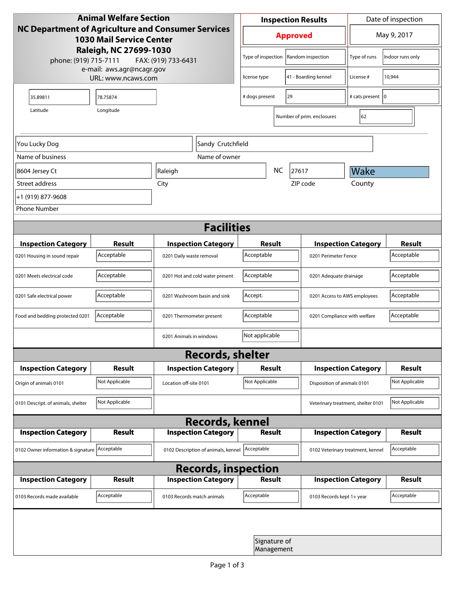| <b>Animal Welfare Section</b><br><b>NC Department of Agriculture and Consumer Services</b><br><b>1030 Mail Service Center</b> |                |                                     |                            | <b>Inspection Results</b> |                            |                            | Date of inspection                 |                  |  |
|-------------------------------------------------------------------------------------------------------------------------------|----------------|-------------------------------------|----------------------------|---------------------------|----------------------------|----------------------------|------------------------------------|------------------|--|
|                                                                                                                               |                |                                     |                            | <b>Approved</b>           |                            |                            | May 9, 2017                        |                  |  |
| Raleigh, NC 27699-1030<br>phone: (919) 715-7111<br>FAX: (919) 733-6431<br>e-mail: aws.agr@ncagr.gov<br>URL: www.ncaws.com     |                |                                     |                            | Type of inspection        |                            | Random inspection          | Type of runs                       | Indoor runs only |  |
|                                                                                                                               |                |                                     | license type               |                           | 41 - Boarding kennel       | License #                  | 10,944                             |                  |  |
| 35.89811                                                                                                                      | 78.75874       |                                     | 29<br># dogs present       |                           |                            | # cats present   0         |                                    |                  |  |
| Latitude                                                                                                                      | Longitude      |                                     |                            |                           |                            | Number of prim. enclosures | 62                                 |                  |  |
| You Lucky Dog                                                                                                                 |                |                                     | Sandy Crutchfield          |                           |                            |                            |                                    |                  |  |
| Name of business                                                                                                              |                |                                     | Name of owner              |                           |                            |                            |                                    |                  |  |
| 8604 Jersey Ct                                                                                                                |                | Raleigh                             |                            |                           | <b>NC</b>                  | 27617                      | Wake                               |                  |  |
| Street address                                                                                                                |                | City                                |                            |                           |                            | ZIP code                   | County                             |                  |  |
| +1 (919) 877-9608                                                                                                             |                |                                     |                            |                           |                            |                            |                                    |                  |  |
| <b>Phone Number</b>                                                                                                           |                |                                     |                            |                           |                            |                            |                                    |                  |  |
| <b>Facilities</b>                                                                                                             |                |                                     |                            |                           |                            |                            |                                    |                  |  |
| <b>Inspection Category</b>                                                                                                    | <b>Result</b>  |                                     | <b>Inspection Category</b> | Result                    |                            |                            | <b>Inspection Category</b>         |                  |  |
| 0201 Housing in sound repair                                                                                                  | Acceptable     | 0201 Daily waste removal            |                            | Acceptable                |                            |                            | 0201 Perimeter Fence               |                  |  |
| 0201 Meets electrical code                                                                                                    | Acceptable     | 0201 Hot and cold water present     |                            | Acceptable                |                            |                            | 0201 Adequate drainage             |                  |  |
| 0201 Safe electrical power                                                                                                    | Acceptable     | 0201 Washroom basin and sink        |                            | Accept.                   |                            |                            | 0201 Access to AWS employees       |                  |  |
| Food and bedding protected 0201                                                                                               | Acceptable     | 0201 Thermometer present            |                            | Acceptable                |                            |                            | 0201 Compliance with welfare       |                  |  |
|                                                                                                                               |                | 0201 Animals in windows             |                            | Not applicable            |                            |                            |                                    |                  |  |
| <b>Records, shelter</b>                                                                                                       |                |                                     |                            |                           |                            |                            |                                    |                  |  |
| <b>Inspection Category</b>                                                                                                    | Result         |                                     | <b>Inspection Category</b> | Result                    |                            |                            | <b>Inspection Category</b>         | <b>Result</b>    |  |
| Origin of animals 0101                                                                                                        | Not Applicable | Location off-site 0101              |                            | Not Applicable            |                            |                            | Disposition of animals 0101        |                  |  |
| 0101 Descript. of animals, shelter                                                                                            | Not Applicable |                                     |                            |                           |                            |                            | Veterinary treatment, shelter 0101 | Not Applicable   |  |
| <b>Records, kennel</b>                                                                                                        |                |                                     |                            |                           |                            |                            |                                    |                  |  |
| <b>Inspection Category</b>                                                                                                    | Result         |                                     | <b>Inspection Category</b> |                           | <b>Result</b>              |                            | <b>Inspection Category</b>         | Result           |  |
| 0102 Owner information & signature Acceptable                                                                                 |                | 0102 Description of animals, kennel |                            | Acceptable                |                            |                            | 0102 Veterinary treatment, kennel  |                  |  |
| <b>Records, inspection</b>                                                                                                    |                |                                     |                            |                           |                            |                            |                                    |                  |  |
| <b>Inspection Category</b>                                                                                                    | <b>Result</b>  |                                     | <b>Inspection Category</b> |                           | Result                     |                            | <b>Inspection Category</b>         | Result           |  |
| 0103 Records made available                                                                                                   | Acceptable     | 0103 Records match animals          |                            | Acceptable                |                            | 0103 Records kept 1+ year  |                                    | Acceptable       |  |
|                                                                                                                               |                |                                     |                            |                           |                            |                            |                                    |                  |  |
|                                                                                                                               |                |                                     |                            |                           | Signature of<br>Management |                            |                                    |                  |  |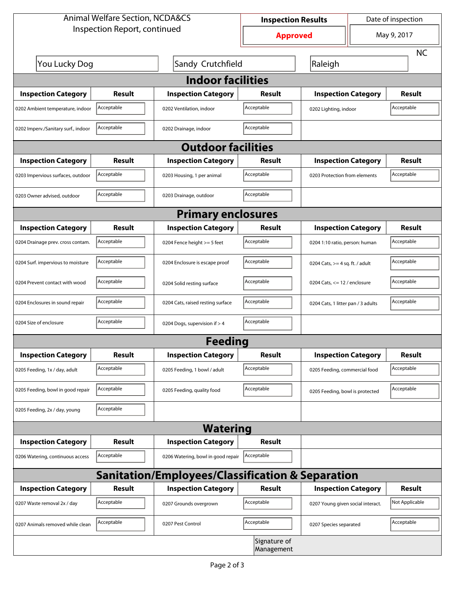| <b>Animal Welfare Section, NCDA&amp;CS</b><br>Inspection Report, continued |                 |                                                             | <b>Inspection Results</b>  |                                    | Date of inspection |                |  |  |  |
|----------------------------------------------------------------------------|-----------------|-------------------------------------------------------------|----------------------------|------------------------------------|--------------------|----------------|--|--|--|
|                                                                            | <b>Approved</b> |                                                             | May 9, 2017                |                                    |                    |                |  |  |  |
|                                                                            |                 |                                                             |                            |                                    |                    | <b>NC</b>      |  |  |  |
| You Lucky Dog                                                              |                 | Sandy Crutchfield                                           |                            | Raleigh                            |                    |                |  |  |  |
| <b>Indoor facilities</b>                                                   |                 |                                                             |                            |                                    |                    |                |  |  |  |
| <b>Inspection Category</b>                                                 | Result          | <b>Inspection Category</b>                                  | Result                     | <b>Inspection Category</b>         |                    | Result         |  |  |  |
| 0202 Ambient temperature, indoor                                           | Acceptable      | 0202 Ventilation, indoor                                    | Acceptable                 | 0202 Lighting, indoor              |                    | Acceptable     |  |  |  |
| 0202 Imperv./Sanitary surf., indoor                                        | Acceptable      | 0202 Drainage, indoor                                       | Acceptable                 |                                    |                    |                |  |  |  |
| <b>Outdoor facilities</b>                                                  |                 |                                                             |                            |                                    |                    |                |  |  |  |
| <b>Inspection Category</b>                                                 | Result          | <b>Inspection Category</b>                                  | <b>Result</b>              | <b>Inspection Category</b>         |                    | Result         |  |  |  |
| 0203 Impervious surfaces, outdoor                                          | Acceptable      | 0203 Housing, 1 per animal                                  | Acceptable                 | 0203 Protection from elements      |                    | Acceptable     |  |  |  |
| 0203 Owner advised, outdoor                                                | Acceptable      | 0203 Drainage, outdoor                                      | Acceptable                 |                                    |                    |                |  |  |  |
| <b>Primary enclosures</b>                                                  |                 |                                                             |                            |                                    |                    |                |  |  |  |
| <b>Inspection Category</b>                                                 | Result          | <b>Inspection Category</b>                                  | Result                     | <b>Inspection Category</b>         |                    | <b>Result</b>  |  |  |  |
| 0204 Drainage prev. cross contam.                                          | Acceptable      | 0204 Fence height >= 5 feet                                 | Acceptable                 | 0204 1:10 ratio, person: human     |                    | Acceptable     |  |  |  |
| 0204 Surf. impervious to moisture                                          | Acceptable      | 0204 Enclosure is escape proof                              | Acceptable                 | 0204 Cats, $>=$ 4 sq. ft. / adult  |                    | Acceptable     |  |  |  |
| 0204 Prevent contact with wood                                             | Acceptable      | 0204 Solid resting surface                                  | Acceptable                 | 0204 Cats, $<= 12$ / enclosure     |                    | Acceptable     |  |  |  |
| 0204 Enclosures in sound repair                                            | Acceptable      | 0204 Cats, raised resting surface                           | Acceptable                 | 0204 Cats, 1 litter pan / 3 adults |                    | Acceptable     |  |  |  |
| 0204 Size of enclosure                                                     | Acceptable      | 0204 Dogs, supervision if > 4                               | Acceptable                 |                                    |                    |                |  |  |  |
|                                                                            |                 | <b>Feeding</b>                                              |                            |                                    |                    |                |  |  |  |
| <b>Inspection Category</b>                                                 | <b>Result</b>   | <b>Inspection Category</b>                                  | <b>Result</b>              | <b>Inspection Category</b>         |                    | <b>Result</b>  |  |  |  |
| 0205 Feeding, 1x / day, adult                                              | Acceptable      | 0205 Feeding, 1 bowl / adult                                | Acceptable                 | 0205 Feeding, commercial food      |                    | Acceptable     |  |  |  |
| 0205 Feeding, bowl in good repair                                          | Acceptable      | 0205 Feeding, quality food                                  | Acceptable                 | 0205 Feeding, bowl is protected    |                    | Acceptable     |  |  |  |
| 0205 Feeding, 2x / day, young                                              | Acceptable      |                                                             |                            |                                    |                    |                |  |  |  |
|                                                                            |                 | <b>Watering</b>                                             |                            |                                    |                    |                |  |  |  |
| <b>Inspection Category</b>                                                 | <b>Result</b>   | <b>Inspection Category</b>                                  | <b>Result</b>              |                                    |                    |                |  |  |  |
| 0206 Watering, continuous access                                           | Acceptable      | 0206 Watering, bowl in good repair                          | Acceptable                 |                                    |                    |                |  |  |  |
|                                                                            |                 | <b>Sanitation/Employees/Classification &amp; Separation</b> |                            |                                    |                    |                |  |  |  |
| <b>Inspection Category</b>                                                 | <b>Result</b>   | <b>Inspection Category</b>                                  | Result                     | <b>Inspection Category</b>         |                    | <b>Result</b>  |  |  |  |
| 0207 Waste removal 2x / day                                                | Acceptable      | 0207 Grounds overgrown                                      | Acceptable                 | 0207 Young given social interact.  |                    | Not Applicable |  |  |  |
| 0207 Animals removed while clean                                           | Acceptable      | 0207 Pest Control                                           | Acceptable                 | 0207 Species separated             |                    | Acceptable     |  |  |  |
|                                                                            |                 |                                                             | Signature of<br>Management |                                    |                    |                |  |  |  |